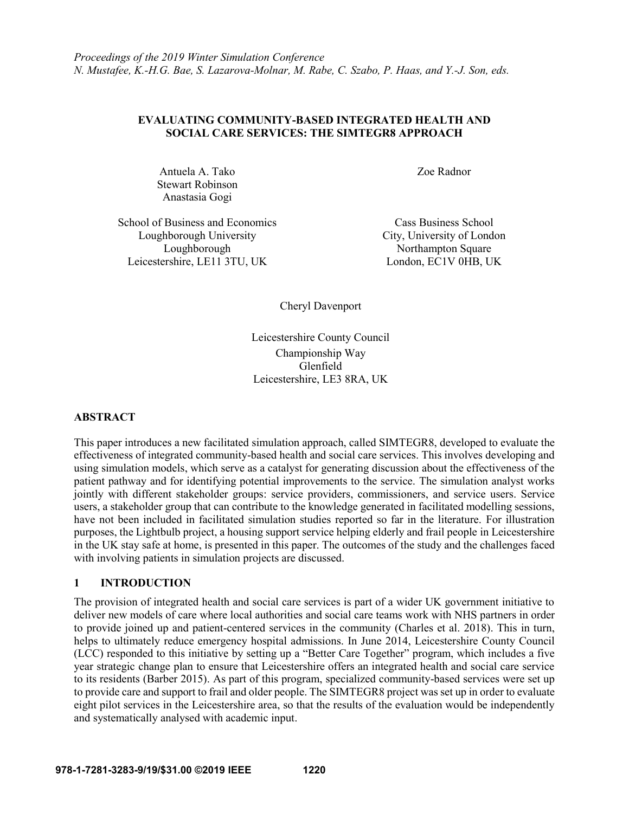## **EVALUATING COMMUNITY-BASED INTEGRATED HEALTH AND SOCIAL CARE SERVICES: THE SIMTEGR8 APPROACH**

Antuela A. Tako Stewart Robinson Anastasia Gogi

Zoe Radnor

School of Business and Economics Cass Business School Loughborough University City, University of London Loughborough Northampton Square Leicestershire, LE11 3TU, UK London, EC1V 0HB, UK

Cheryl Davenport

Leicestershire County Council Championship Way Glenfield Leicestershire, LE3 8RA, UK

# **ABSTRACT**

This paper introduces a new facilitated simulation approach, called SIMTEGR8, developed to evaluate the effectiveness of integrated community-based health and social care services. This involves developing and using simulation models, which serve as a catalyst for generating discussion about the effectiveness of the patient pathway and for identifying potential improvements to the service. The simulation analyst works jointly with different stakeholder groups: service providers, commissioners, and service users. Service users, a stakeholder group that can contribute to the knowledge generated in facilitated modelling sessions, have not been included in facilitated simulation studies reported so far in the literature. For illustration purposes, the Lightbulb project, a housing support service helping elderly and frail people in Leicestershire in the UK stay safe at home, is presented in this paper. The outcomes of the study and the challenges faced with involving patients in simulation projects are discussed.

## **1 INTRODUCTION**

The provision of integrated health and social care services is part of a wider UK government initiative to deliver new models of care where local authorities and social care teams work with NHS partners in order to provide joined up and patient-centered services in the community (Charles et al. 2018). This in turn, helps to ultimately reduce emergency hospital admissions. In June 2014, Leicestershire County Council (LCC) responded to this initiative by setting up a "Better Care Together" program, which includes a five year strategic change plan to ensure that Leicestershire offers an integrated health and social care service to its residents (Barber 2015). As part of this program, specialized community-based services were set up to provide care and support to frail and older people. The SIMTEGR8 project was set up in order to evaluate eight pilot services in the Leicestershire area, so that the results of the evaluation would be independently and systematically analysed with academic input.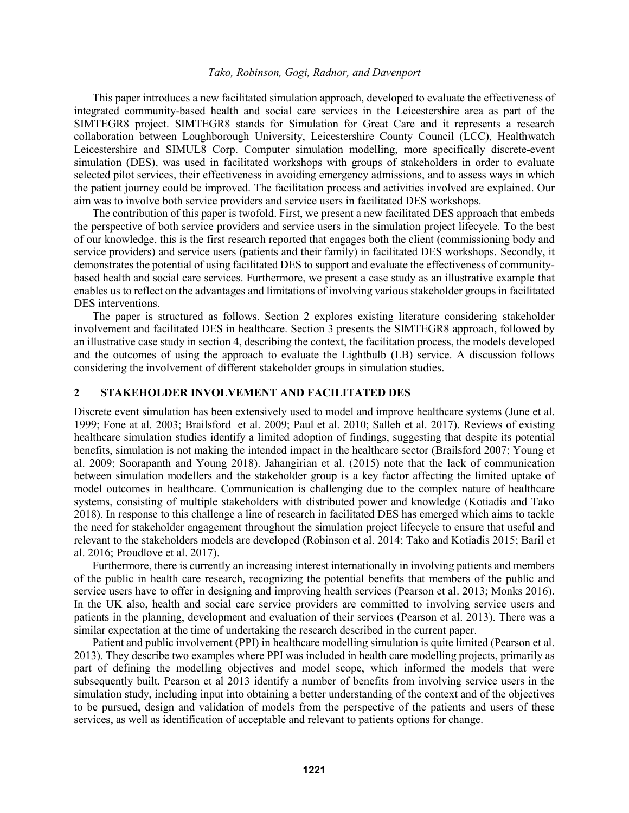This paper introduces a new facilitated simulation approach, developed to evaluate the effectiveness of integrated community-based health and social care services in the Leicestershire area as part of the SIMTEGR8 project. SIMTEGR8 stands for Simulation for Great Care and it represents a research collaboration between Loughborough University, Leicestershire County Council (LCC), Healthwatch Leicestershire and SIMUL8 Corp. Computer simulation modelling, more specifically discrete-event simulation (DES), was used in facilitated workshops with groups of stakeholders in order to evaluate selected pilot services, their effectiveness in avoiding emergency admissions, and to assess ways in which the patient journey could be improved. The facilitation process and activities involved are explained. Our aim was to involve both service providers and service users in facilitated DES workshops.

The contribution of this paper is twofold. First, we present a new facilitated DES approach that embeds the perspective of both service providers and service users in the simulation project lifecycle. To the best of our knowledge, this is the first research reported that engages both the client (commissioning body and service providers) and service users (patients and their family) in facilitated DES workshops. Secondly, it demonstrates the potential of using facilitated DES to support and evaluate the effectiveness of communitybased health and social care services. Furthermore, we present a case study as an illustrative example that enables us to reflect on the advantages and limitations of involving various stakeholder groups in facilitated DES interventions.

The paper is structured as follows. Section 2 explores existing literature considering stakeholder involvement and facilitated DES in healthcare. Section 3 presents the SIMTEGR8 approach, followed by an illustrative case study in section 4, describing the context, the facilitation process, the models developed and the outcomes of using the approach to evaluate the Lightbulb (LB) service. A discussion follows considering the involvement of different stakeholder groups in simulation studies.

### **2 STAKEHOLDER INVOLVEMENT AND FACILITATED DES**

Discrete event simulation has been extensively used to model and improve healthcare systems (June et al. 1999; Fone at al. 2003; Brailsford et al. 2009; Paul et al. 2010; Salleh et al. 2017). Reviews of existing healthcare simulation studies identify a limited adoption of findings, suggesting that despite its potential benefits, simulation is not making the intended impact in the healthcare sector (Brailsford 2007; Young et al. 2009; Soorapanth and Young 2018). Jahangirian et al. (2015) note that the lack of communication between simulation modellers and the stakeholder group is a key factor affecting the limited uptake of model outcomes in healthcare. Communication is challenging due to the complex nature of healthcare systems, consisting of multiple stakeholders with distributed power and knowledge (Kotiadis and Tako 2018). In response to this challenge a line of research in facilitated DES has emerged which aims to tackle the need for stakeholder engagement throughout the simulation project lifecycle to ensure that useful and relevant to the stakeholders models are developed (Robinson et al. 2014; Tako and Kotiadis 2015; Baril et al. 2016; Proudlove et al. 2017).

Furthermore, there is currently an increasing interest internationally in involving patients and members of the public in health care research, recognizing the potential benefits that members of the public and service users have to offer in designing and improving health services (Pearson et al. 2013; Monks 2016). In the UK also, health and social care service providers are committed to involving service users and patients in the planning, development and evaluation of their services (Pearson et al. 2013). There was a similar expectation at the time of undertaking the research described in the current paper.

Patient and public involvement (PPI) in healthcare modelling simulation is quite limited (Pearson et al. 2013). They describe two examples where PPI was included in health care modelling projects, primarily as part of defining the modelling objectives and model scope, which informed the models that were subsequently built. Pearson et al 2013 identify a number of benefits from involving service users in the simulation study, including input into obtaining a better understanding of the context and of the objectives to be pursued, design and validation of models from the perspective of the patients and users of these services, as well as identification of acceptable and relevant to patients options for change.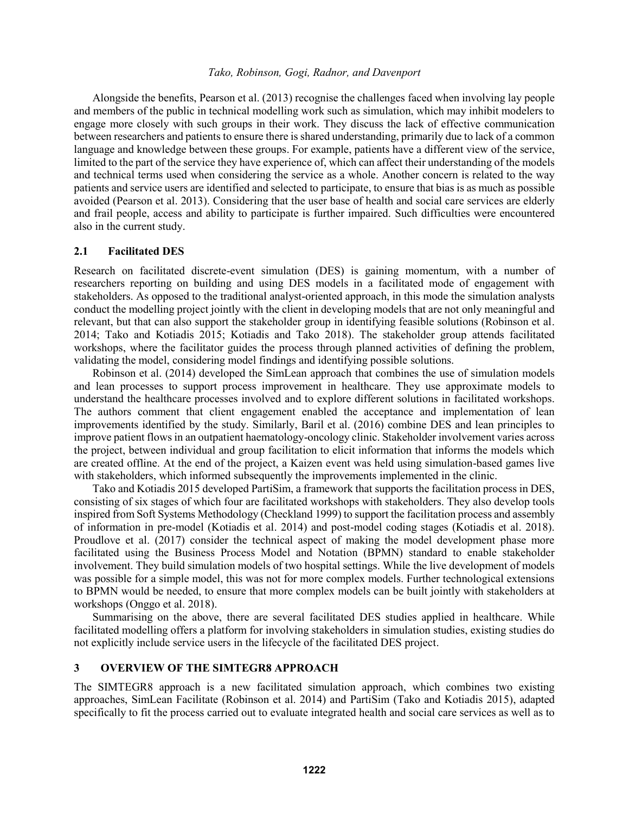Alongside the benefits, Pearson et al. (2013) recognise the challenges faced when involving lay people and members of the public in technical modelling work such as simulation, which may inhibit modelers to engage more closely with such groups in their work. They discuss the lack of effective communication between researchers and patients to ensure there is shared understanding, primarily due to lack of a common language and knowledge between these groups. For example, patients have a different view of the service, limited to the part of the service they have experience of, which can affect their understanding of the models and technical terms used when considering the service as a whole. Another concern is related to the way patients and service users are identified and selected to participate, to ensure that bias is as much as possible avoided (Pearson et al. 2013). Considering that the user base of health and social care services are elderly and frail people, access and ability to participate is further impaired. Such difficulties were encountered also in the current study.

### **2.1 Facilitated DES**

Research on facilitated discrete-event simulation (DES) is gaining momentum, with a number of researchers reporting on building and using DES models in a facilitated mode of engagement with stakeholders. As opposed to the traditional analyst-oriented approach, in this mode the simulation analysts conduct the modelling project jointly with the client in developing models that are not only meaningful and relevant, but that can also support the stakeholder group in identifying feasible solutions (Robinson et al. 2014; Tako and Kotiadis 2015; Kotiadis and Tako 2018). The stakeholder group attends facilitated workshops, where the facilitator guides the process through planned activities of defining the problem, validating the model, considering model findings and identifying possible solutions.

Robinson et al. (2014) developed the SimLean approach that combines the use of simulation models and lean processes to support process improvement in healthcare. They use approximate models to understand the healthcare processes involved and to explore different solutions in facilitated workshops. The authors comment that client engagement enabled the acceptance and implementation of lean improvements identified by the study. Similarly, Baril et al. (2016) combine DES and lean principles to improve patient flows in an outpatient haematology-oncology clinic. Stakeholder involvement varies across the project, between individual and group facilitation to elicit information that informs the models which are created offline. At the end of the project, a Kaizen event was held using simulation-based games live with stakeholders, which informed subsequently the improvements implemented in the clinic.

Tako and Kotiadis 2015 developed PartiSim, a framework that supports the facilitation process in DES, consisting of six stages of which four are facilitated workshops with stakeholders. They also develop tools inspired from Soft Systems Methodology (Checkland 1999) to support the facilitation process and assembly of information in pre-model (Kotiadis et al. 2014) and post-model coding stages (Kotiadis et al. 2018). Proudlove et al. (2017) consider the technical aspect of making the model development phase more facilitated using the Business Process Model and Notation (BPMN) standard to enable stakeholder involvement. They build simulation models of two hospital settings. While the live development of models was possible for a simple model, this was not for more complex models. Further technological extensions to BPMN would be needed, to ensure that more complex models can be built jointly with stakeholders at workshops (Onggo et al. 2018).

Summarising on the above, there are several facilitated DES studies applied in healthcare. While facilitated modelling offers a platform for involving stakeholders in simulation studies, existing studies do not explicitly include service users in the lifecycle of the facilitated DES project.

### **3 OVERVIEW OF THE SIMTEGR8 APPROACH**

The SIMTEGR8 approach is a new facilitated simulation approach, which combines two existing approaches, SimLean Facilitate (Robinson et al. 2014) and PartiSim (Tako and Kotiadis 2015), adapted specifically to fit the process carried out to evaluate integrated health and social care services as well as to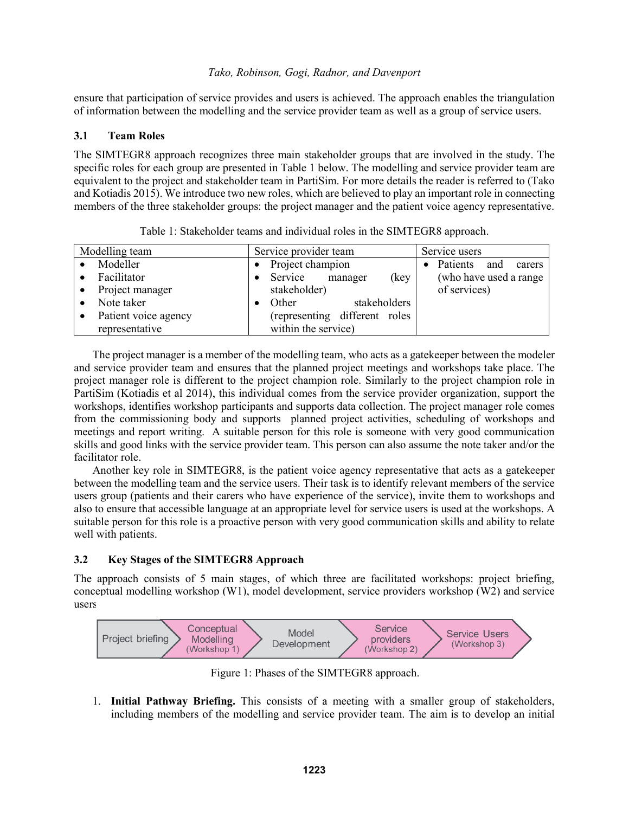ensure that participation of service provides and users is achieved. The approach enables the triangulation of information between the modelling and the service provider team as well as a group of service users.

## **3.1 Team Roles**

The SIMTEGR8 approach recognizes three main stakeholder groups that are involved in the study. The specific roles for each group are presented in Table 1 below. The modelling and service provider team are equivalent to the project and stakeholder team in PartiSim. For more details the reader is referred to (Tako and Kotiadis 2015). We introduce two new roles, which are believed to play an important role in connecting members of the three stakeholder groups: the project manager and the patient voice agency representative.

| Modelling team       | Service provider team          | Service users           |
|----------------------|--------------------------------|-------------------------|
| Modeller             | Project champion               | Patients and<br>carers  |
| Facilitator          | Service<br>(key<br>manager     | (who have used a range) |
| Project manager      | stakeholder)                   | of services)            |
| Note taker           | stakeholders<br>Other          |                         |
| Patient voice agency | (representing different roles) |                         |
| representative       | within the service)            |                         |

Table 1: Stakeholder teams and individual roles in the SIMTEGR8 approach.

The project manager is a member of the modelling team, who acts as a gatekeeper between the modeler and service provider team and ensures that the planned project meetings and workshops take place. The project manager role is different to the project champion role. Similarly to the project champion role in PartiSim (Kotiadis et al 2014), this individual comes from the service provider organization, support the workshops, identifies workshop participants and supports data collection. The project manager role comes from the commissioning body and supports planned project activities, scheduling of workshops and meetings and report writing. A suitable person for this role is someone with very good communication skills and good links with the service provider team. This person can also assume the note taker and/or the facilitator role.

Another key role in SIMTEGR8, is the patient voice agency representative that acts as a gatekeeper between the modelling team and the service users. Their task is to identify relevant members of the service users group (patients and their carers who have experience of the service), invite them to workshops and also to ensure that accessible language at an appropriate level for service users is used at the workshops. A suitable person for this role is a proactive person with very good communication skills and ability to relate well with patients.

# **3.2 Key Stages of the SIMTEGR8 Approach**

The approach consists of 5 main stages, of which three are facilitated workshops: project briefing, conceptual modelling workshop (W1), model development, service providers workshop (W2) and service users workshop (W3) (Figure 1). Each stage is next briefly explained.



Figure 1: Phases of the SIMTEGR8 approach.

1. **Initial Pathway Briefing.** This consists of a meeting with a smaller group of stakeholders, including members of the modelling and service provider team. The aim is to develop an initial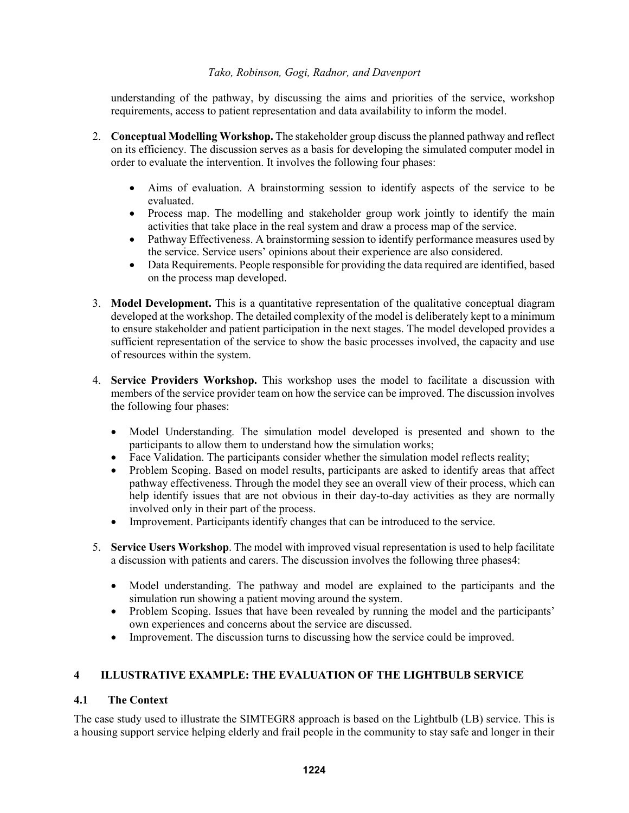understanding of the pathway, by discussing the aims and priorities of the service, workshop requirements, access to patient representation and data availability to inform the model.

- 2. **Conceptual Modelling Workshop.** The stakeholder group discuss the planned pathway and reflect on its efficiency. The discussion serves as a basis for developing the simulated computer model in order to evaluate the intervention. It involves the following four phases:
	- Aims of evaluation. A brainstorming session to identify aspects of the service to be evaluated.
	- Process map. The modelling and stakeholder group work jointly to identify the main activities that take place in the real system and draw a process map of the service.
	- Pathway Effectiveness. A brainstorming session to identify performance measures used by the service. Service users' opinions about their experience are also considered.
	- Data Requirements. People responsible for providing the data required are identified, based on the process map developed.
- 3. **Model Development.** This is a quantitative representation of the qualitative conceptual diagram developed at the workshop. The detailed complexity of the model is deliberately kept to a minimum to ensure stakeholder and patient participation in the next stages. The model developed provides a sufficient representation of the service to show the basic processes involved, the capacity and use of resources within the system.
- 4. **Service Providers Workshop.** This workshop uses the model to facilitate a discussion with members of the service provider team on how the service can be improved. The discussion involves the following four phases:
	- Model Understanding. The simulation model developed is presented and shown to the participants to allow them to understand how the simulation works;
	- Face Validation. The participants consider whether the simulation model reflects reality;
	- Problem Scoping. Based on model results, participants are asked to identify areas that affect pathway effectiveness. Through the model they see an overall view of their process, which can help identify issues that are not obvious in their day-to-day activities as they are normally involved only in their part of the process.
	- Improvement. Participants identify changes that can be introduced to the service.
- 5. **Service Users Workshop**. The model with improved visual representation is used to help facilitate a discussion with patients and carers. The discussion involves the following three phases4:
	- Model understanding. The pathway and model are explained to the participants and the simulation run showing a patient moving around the system.
	- Problem Scoping. Issues that have been revealed by running the model and the participants' own experiences and concerns about the service are discussed.
	- Improvement. The discussion turns to discussing how the service could be improved.

# **4 ILLUSTRATIVE EXAMPLE: THE EVALUATION OF THE LIGHTBULB SERVICE**

## **4.1 The Context**

The case study used to illustrate the SIMTEGR8 approach is based on the Lightbulb (LB) service. This is a housing support service helping elderly and frail people in the community to stay safe and longer in their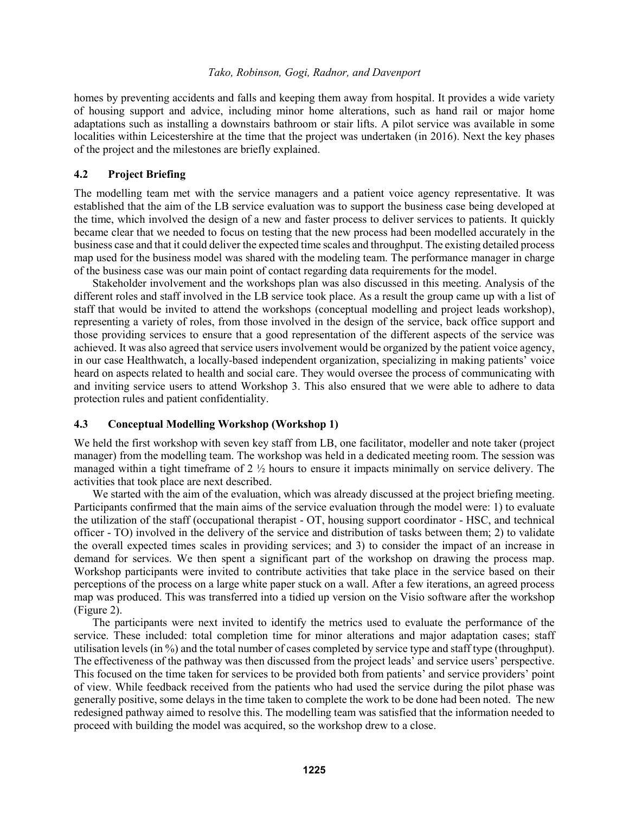homes by preventing accidents and falls and keeping them away from hospital. It provides a wide variety of housing support and advice, including minor home alterations, such as hand rail or major home adaptations such as installing a downstairs bathroom or stair lifts. A pilot service was available in some localities within Leicestershire at the time that the project was undertaken (in 2016). Next the key phases of the project and the milestones are briefly explained.

### **4.2 Project Briefing**

The modelling team met with the service managers and a patient voice agency representative. It was established that the aim of the LB service evaluation was to support the business case being developed at the time, which involved the design of a new and faster process to deliver services to patients. It quickly became clear that we needed to focus on testing that the new process had been modelled accurately in the business case and that it could deliver the expected time scales and throughput. The existing detailed process map used for the business model was shared with the modeling team. The performance manager in charge of the business case was our main point of contact regarding data requirements for the model.

Stakeholder involvement and the workshops plan was also discussed in this meeting. Analysis of the different roles and staff involved in the LB service took place. As a result the group came up with a list of staff that would be invited to attend the workshops (conceptual modelling and project leads workshop), representing a variety of roles, from those involved in the design of the service, back office support and those providing services to ensure that a good representation of the different aspects of the service was achieved. It was also agreed that service users involvement would be organized by the patient voice agency, in our case Healthwatch, a locally-based independent organization, specializing in making patients' voice heard on aspects related to health and social care. They would oversee the process of communicating with and inviting service users to attend Workshop 3. This also ensured that we were able to adhere to data protection rules and patient confidentiality.

## **4.3 Conceptual Modelling Workshop (Workshop 1)**

We held the first workshop with seven key staff from LB, one facilitator, modeller and note taker (project manager) from the modelling team. The workshop was held in a dedicated meeting room. The session was managed within a tight timeframe of 2 ½ hours to ensure it impacts minimally on service delivery. The activities that took place are next described.

We started with the aim of the evaluation, which was already discussed at the project briefing meeting. Participants confirmed that the main aims of the service evaluation through the model were: 1) to evaluate the utilization of the staff (occupational therapist - OT, housing support coordinator - HSC, and technical officer - TO) involved in the delivery of the service and distribution of tasks between them; 2) to validate the overall expected times scales in providing services; and 3) to consider the impact of an increase in demand for services. We then spent a significant part of the workshop on drawing the process map. Workshop participants were invited to contribute activities that take place in the service based on their perceptions of the process on a large white paper stuck on a wall. After a few iterations, an agreed process map was produced. This was transferred into a tidied up version on the Visio software after the workshop (Figure 2).

The participants were next invited to identify the metrics used to evaluate the performance of the service. These included: total completion time for minor alterations and major adaptation cases; staff utilisation levels (in %) and the total number of cases completed by service type and staff type (throughput). The effectiveness of the pathway was then discussed from the project leads' and service users' perspective. This focused on the time taken for services to be provided both from patients' and service providers' point of view. While feedback received from the patients who had used the service during the pilot phase was generally positive, some delays in the time taken to complete the work to be done had been noted. The new redesigned pathway aimed to resolve this. The modelling team was satisfied that the information needed to proceed with building the model was acquired, so the workshop drew to a close.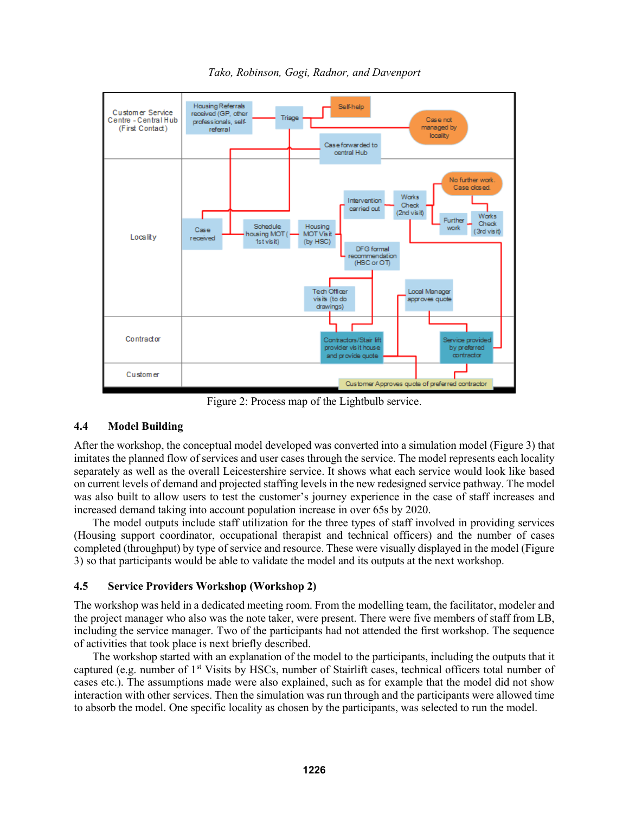

*Tako, Robinson, Gogi, Radnor, and Davenport*

Figure 2: Process map of the Lightbulb service.

# **4.4 Model Building**

After the workshop, the conceptual model developed was converted into a simulation model (Figure 3) that imitates the planned flow of services and user cases through the service. The model represents each locality separately as well as the overall Leicestershire service. It shows what each service would look like based on current levels of demand and projected staffing levels in the new redesigned service pathway. The model was also built to allow users to test the customer's journey experience in the case of staff increases and increased demand taking into account population increase in over 65s by 2020.

The model outputs include staff utilization for the three types of staff involved in providing services (Housing support coordinator, occupational therapist and technical officers) and the number of cases completed (throughput) by type of service and resource. These were visually displayed in the model (Figure 3) so that participants would be able to validate the model and its outputs at the next workshop.

# **4.5 Service Providers Workshop (Workshop 2)**

The workshop was held in a dedicated meeting room. From the modelling team, the facilitator, modeler and the project manager who also was the note taker, were present. There were five members of staff from LB, including the service manager. Two of the participants had not attended the first workshop. The sequence of activities that took place is next briefly described.

The workshop started with an explanation of the model to the participants, including the outputs that it captured (e.g. number of 1st Visits by HSCs, number of Stairlift cases, technical officers total number of cases etc.). The assumptions made were also explained, such as for example that the model did not show interaction with other services. Then the simulation was run through and the participants were allowed time to absorb the model. One specific locality as chosen by the participants, was selected to run the model.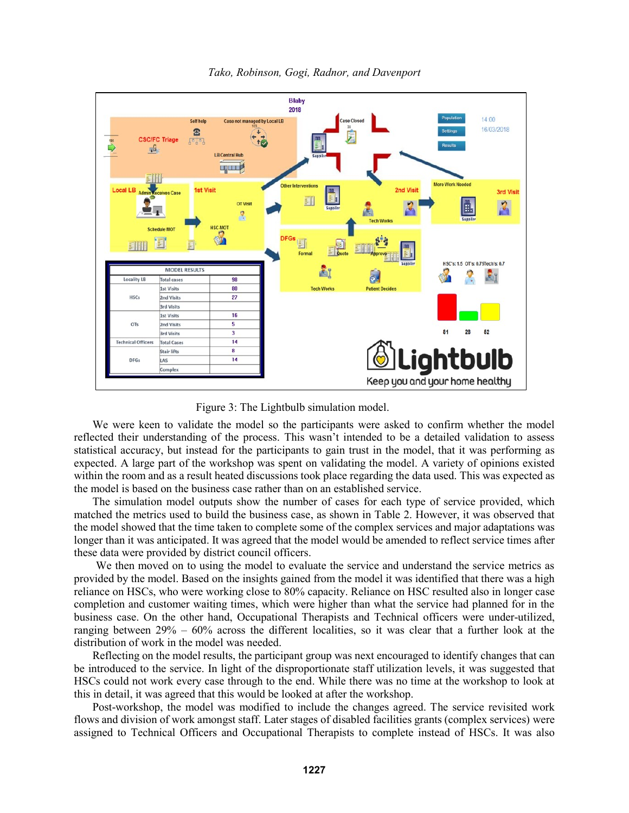

*Tako, Robinson, Gogi, Radnor, and Davenport*

Figure 3: The Lightbulb simulation model.

We were keen to validate the model so the participants were asked to confirm whether the model reflected their understanding of the process. This wasn't intended to be a detailed validation to assess statistical accuracy, but instead for the participants to gain trust in the model, that it was performing as expected. A large part of the workshop was spent on validating the model. A variety of opinions existed within the room and as a result heated discussions took place regarding the data used. This was expected as the model is based on the business case rather than on an established service.

The simulation model outputs show the number of cases for each type of service provided, which matched the metrics used to build the business case, as shown in Table 2. However, it was observed that the model showed that the time taken to complete some of the complex services and major adaptations was longer than it was anticipated. It was agreed that the model would be amended to reflect service times after these data were provided by district council officers.

We then moved on to using the model to evaluate the service and understand the service metrics as provided by the model. Based on the insights gained from the model it was identified that there was a high reliance on HSCs, who were working close to 80% capacity. Reliance on HSC resulted also in longer case completion and customer waiting times, which were higher than what the service had planned for in the business case. On the other hand, Occupational Therapists and Technical officers were under-utilized, ranging between 29% – 60% across the different localities, so it was clear that a further look at the distribution of work in the model was needed.

Reflecting on the model results, the participant group was next encouraged to identify changes that can be introduced to the service. In light of the disproportionate staff utilization levels, it was suggested that HSCs could not work every case through to the end. While there was no time at the workshop to look at this in detail, it was agreed that this would be looked at after the workshop.

Post-workshop, the model was modified to include the changes agreed. The service revisited work flows and division of work amongst staff. Later stages of disabled facilities grants (complex services) were assigned to Technical Officers and Occupational Therapists to complete instead of HSCs. It was also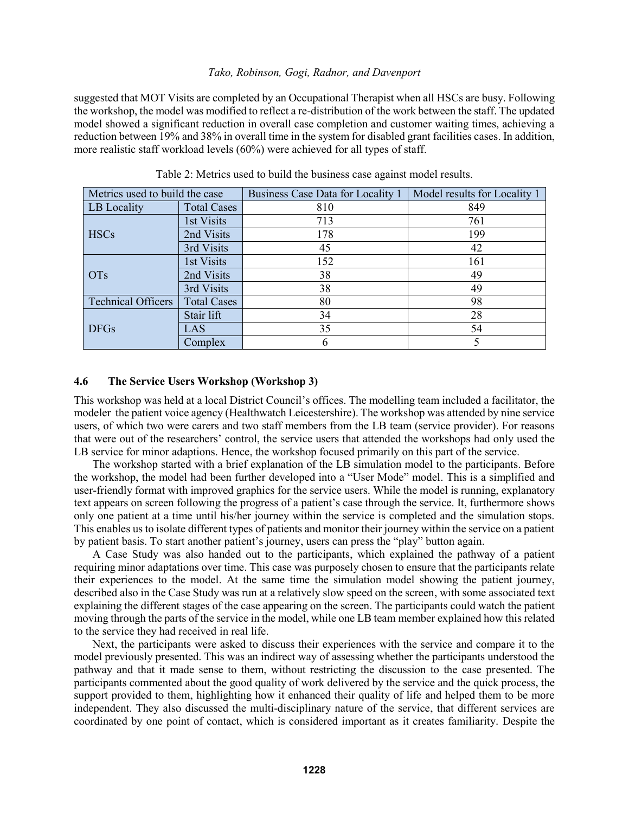suggested that MOT Visits are completed by an Occupational Therapist when all HSCs are busy. Following the workshop, the model was modified to reflect a re-distribution of the work between the staff. The updated model showed a significant reduction in overall case completion and customer waiting times, achieving a reduction between 19% and 38% in overall time in the system for disabled grant facilities cases. In addition, more realistic staff workload levels (60%) were achieved for all types of staff.

| Metrics used to build the case |                    | Business Case Data for Locality 1 | Model results for Locality 1 |
|--------------------------------|--------------------|-----------------------------------|------------------------------|
| LB Locality                    | <b>Total Cases</b> | 810                               | 849                          |
| <b>HSCs</b>                    | 1st Visits         | 713                               | 761                          |
|                                | 2nd Visits         | 178                               | 199                          |
|                                | 3rd Visits         | 45                                | 42                           |
| <b>OTs</b>                     | 1st Visits         | 152                               | 161                          |
|                                | 2nd Visits         | 38                                | 49                           |
|                                | 3rd Visits         | 38                                | 49                           |
| <b>Technical Officers</b>      | <b>Total Cases</b> | 80                                | 98                           |
| <b>DFGs</b>                    | Stair lift         | 34                                | 28                           |
|                                | LAS                | 35                                | 54                           |
|                                | Complex            | O                                 |                              |

Table 2: Metrics used to build the business case against model results.

## **4.6 The Service Users Workshop (Workshop 3)**

This workshop was held at a local District Council's offices. The modelling team included a facilitator, the modeler the patient voice agency (Healthwatch Leicestershire). The workshop was attended by nine service users, of which two were carers and two staff members from the LB team (service provider). For reasons that were out of the researchers' control, the service users that attended the workshops had only used the LB service for minor adaptions. Hence, the workshop focused primarily on this part of the service.

The workshop started with a brief explanation of the LB simulation model to the participants. Before the workshop, the model had been further developed into a "User Mode" model. This is a simplified and user-friendly format with improved graphics for the service users. While the model is running, explanatory text appears on screen following the progress of a patient's case through the service. It, furthermore shows only one patient at a time until his/her journey within the service is completed and the simulation stops. This enables us to isolate different types of patients and monitor their journey within the service on a patient by patient basis. To start another patient's journey, users can press the "play" button again.

A Case Study was also handed out to the participants, which explained the pathway of a patient requiring minor adaptations over time. This case was purposely chosen to ensure that the participants relate their experiences to the model. At the same time the simulation model showing the patient journey, described also in the Case Study was run at a relatively slow speed on the screen, with some associated text explaining the different stages of the case appearing on the screen. The participants could watch the patient moving through the parts of the service in the model, while one LB team member explained how this related to the service they had received in real life.

Next, the participants were asked to discuss their experiences with the service and compare it to the model previously presented. This was an indirect way of assessing whether the participants understood the pathway and that it made sense to them, without restricting the discussion to the case presented. The participants commented about the good quality of work delivered by the service and the quick process, the support provided to them, highlighting how it enhanced their quality of life and helped them to be more independent. They also discussed the multi-disciplinary nature of the service, that different services are coordinated by one point of contact, which is considered important as it creates familiarity. Despite the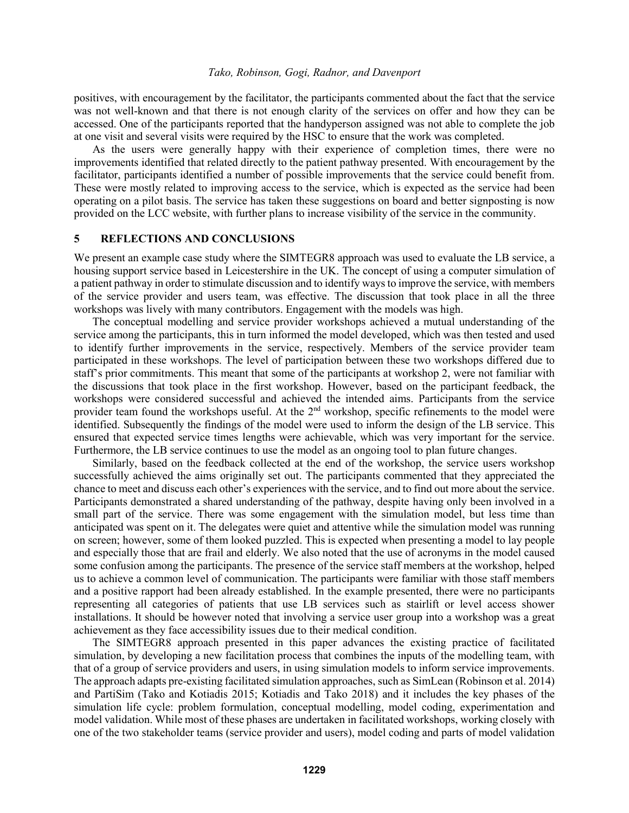positives, with encouragement by the facilitator, the participants commented about the fact that the service was not well-known and that there is not enough clarity of the services on offer and how they can be accessed. One of the participants reported that the handyperson assigned was not able to complete the job at one visit and several visits were required by the HSC to ensure that the work was completed.

As the users were generally happy with their experience of completion times, there were no improvements identified that related directly to the patient pathway presented. With encouragement by the facilitator, participants identified a number of possible improvements that the service could benefit from. These were mostly related to improving access to the service, which is expected as the service had been operating on a pilot basis. The service has taken these suggestions on board and better signposting is now provided on the LCC website, with further plans to increase visibility of the service in the community.

### **5 REFLECTIONS AND CONCLUSIONS**

We present an example case study where the SIMTEGR8 approach was used to evaluate the LB service, a housing support service based in Leicestershire in the UK. The concept of using a computer simulation of a patient pathway in order to stimulate discussion and to identify ways to improve the service, with members of the service provider and users team, was effective. The discussion that took place in all the three workshops was lively with many contributors. Engagement with the models was high.

The conceptual modelling and service provider workshops achieved a mutual understanding of the service among the participants, this in turn informed the model developed, which was then tested and used to identify further improvements in the service, respectively. Members of the service provider team participated in these workshops. The level of participation between these two workshops differed due to staff's prior commitments. This meant that some of the participants at workshop 2, were not familiar with the discussions that took place in the first workshop. However, based on the participant feedback, the workshops were considered successful and achieved the intended aims. Participants from the service provider team found the workshops useful. At the 2<sup>nd</sup> workshop, specific refinements to the model were identified. Subsequently the findings of the model were used to inform the design of the LB service. This ensured that expected service times lengths were achievable, which was very important for the service. Furthermore, the LB service continues to use the model as an ongoing tool to plan future changes.

Similarly, based on the feedback collected at the end of the workshop, the service users workshop successfully achieved the aims originally set out. The participants commented that they appreciated the chance to meet and discuss each other's experiences with the service, and to find out more about the service. Participants demonstrated a shared understanding of the pathway, despite having only been involved in a small part of the service. There was some engagement with the simulation model, but less time than anticipated was spent on it. The delegates were quiet and attentive while the simulation model was running on screen; however, some of them looked puzzled. This is expected when presenting a model to lay people and especially those that are frail and elderly. We also noted that the use of acronyms in the model caused some confusion among the participants. The presence of the service staff members at the workshop, helped us to achieve a common level of communication. The participants were familiar with those staff members and a positive rapport had been already established. In the example presented, there were no participants representing all categories of patients that use LB services such as stairlift or level access shower installations. It should be however noted that involving a service user group into a workshop was a great achievement as they face accessibility issues due to their medical condition.

The SIMTEGR8 approach presented in this paper advances the existing practice of facilitated simulation, by developing a new facilitation process that combines the inputs of the modelling team, with that of a group of service providers and users, in using simulation models to inform service improvements. The approach adapts pre-existing facilitated simulation approaches, such as SimLean (Robinson et al. 2014) and PartiSim (Tako and Kotiadis 2015; Kotiadis and Tako 2018) and it includes the key phases of the simulation life cycle: problem formulation, conceptual modelling, model coding, experimentation and model validation. While most of these phases are undertaken in facilitated workshops, working closely with one of the two stakeholder teams (service provider and users), model coding and parts of model validation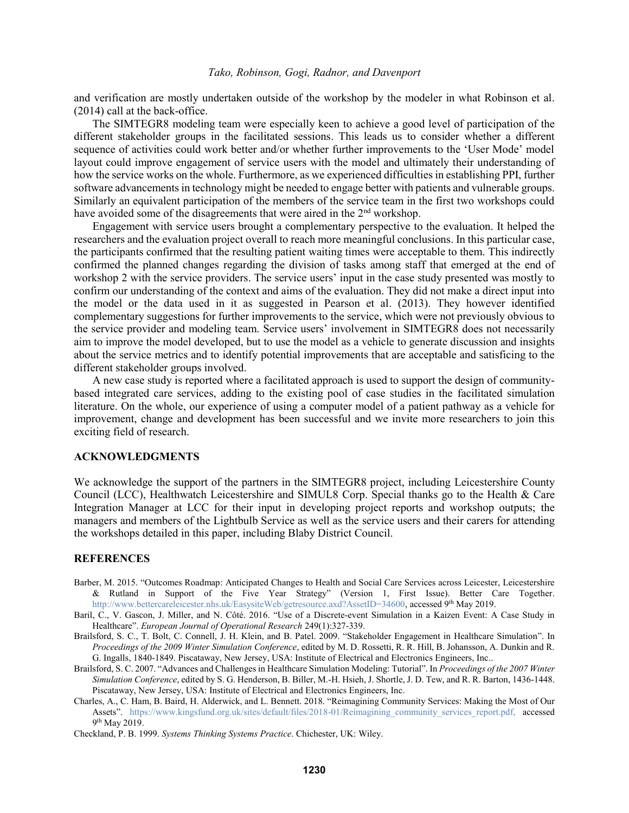and verification are mostly undertaken outside of the workshop by the modeler in what Robinson et al. (2014) call at the back-office.

The SIMTEGR8 modeling team were especially keen to achieve a good level of participation of the different stakeholder groups in the facilitated sessions. This leads us to consider whether a different sequence of activities could work better and/or whether further improvements to the 'User Mode' model layout could improve engagement of service users with the model and ultimately their understanding of how the service works on the whole. Furthermore, as we experienced difficulties in establishing PPI, further software advancements in technology might be needed to engage better with patients and vulnerable groups. Similarly an equivalent participation of the members of the service team in the first two workshops could have avoided some of the disagreements that were aired in the 2<sup>nd</sup> workshop.

Engagement with service users brought a complementary perspective to the evaluation. It helped the researchers and the evaluation project overall to reach more meaningful conclusions. In this particular case, the participants confirmed that the resulting patient waiting times were acceptable to them. This indirectly confirmed the planned changes regarding the division of tasks among staff that emerged at the end of workshop 2 with the service providers. The service users' input in the case study presented was mostly to confirm our understanding of the context and aims of the evaluation. They did not make a direct input into the model or the data used in it as suggested in Pearson et al. (2013). They however identified complementary suggestions for further improvements to the service, which were not previously obvious to the service provider and modeling team. Service users' involvement in SIMTEGR8 does not necessarily aim to improve the model developed, but to use the model as a vehicle to generate discussion and insights about the service metrics and to identify potential improvements that are acceptable and satisficing to the different stakeholder groups involved.

A new case study is reported where a facilitated approach is used to support the design of communitybased integrated care services, adding to the existing pool of case studies in the facilitated simulation literature. On the whole, our experience of using a computer model of a patient pathway as a vehicle for improvement, change and development has been successful and we invite more researchers to join this exciting field of research.

### **ACKNOWLEDGMENTS**

We acknowledge the support of the partners in the SIMTEGR8 project, including Leicestershire County Council (LCC), Healthwatch Leicestershire and SIMUL8 Corp. Special thanks go to the Health & Care Integration Manager at LCC for their input in developing project reports and workshop outputs; the managers and members of the Lightbulb Service as well as the service users and their carers for attending the workshops detailed in this paper, including Blaby District Council.

### **REFERENCES**

- Barber, M. 2015. "Outcomes Roadmap: Anticipated Changes to Health and Social Care Services across Leicester, Leicestershire & Rutland in Support of the Five Year Strategy" (Version 1, First Issue). Better Care Together. [http://www.bettercareleicester.nhs.uk/EasysiteWeb/getresource.axd?AssetID=34600,](http://www.bettercareleicester.nhs.uk/EasysiteWeb/getresource.axd?AssetID=34600) accessed 9<sup>th</sup> May 2019.
- Baril, C., V. Gascon, J. Miller, and N. Côté. 2016. "Use of a Discrete-event Simulation in a Kaizen Event: A Case Study in Healthcare". *European Journal of Operational Research* 249(1):327-339.
- Brailsford, S. C., T. Bolt, C. Connell, J. H. Klein, and B. Patel. 2009. "Stakeholder Engagement in Healthcare Simulation". In *Proceedings of the 2009 Winter Simulation Conference*, edited by M. D. Rossetti, R. R. Hill, B. Johansson, A. Dunkin and R. G. Ingalls, 1840-1849. Piscataway, New Jersey, USA: Institute of Electrical and Electronics Engineers, Inc..
- Brailsford, S. C. 2007. "Advances and Challenges in Healthcare Simulation Modeling: Tutorial". In *Proceedings of the 2007 Winter Simulation Conference*, edited by S. G. Henderson, B. Biller, M.-H. Hsieh, J. Shortle, J. D. Tew, and R. R. Barton, 1436-1448. Piscataway, New Jersey, USA: Institute of Electrical and Electronics Engineers, Inc.
- Charles, A., C. Ham, B. Baird, H. Alderwick, and L. Bennett. 2018. "Reimagining Community Services: Making the Most of Our Assets". [https://www.kingsfund.org.uk/sites/default/files/2018-01/Reimagining\\_community\\_services\\_report.pdf,](https://www.kingsfund.org.uk/sites/default/files/2018-01/Reimagining_community_services_report.pdf) accessed 9<sup>th</sup> May 2019.

Checkland, P. B. 1999. *Systems Thinking Systems Practice*. Chichester, UK: Wiley.